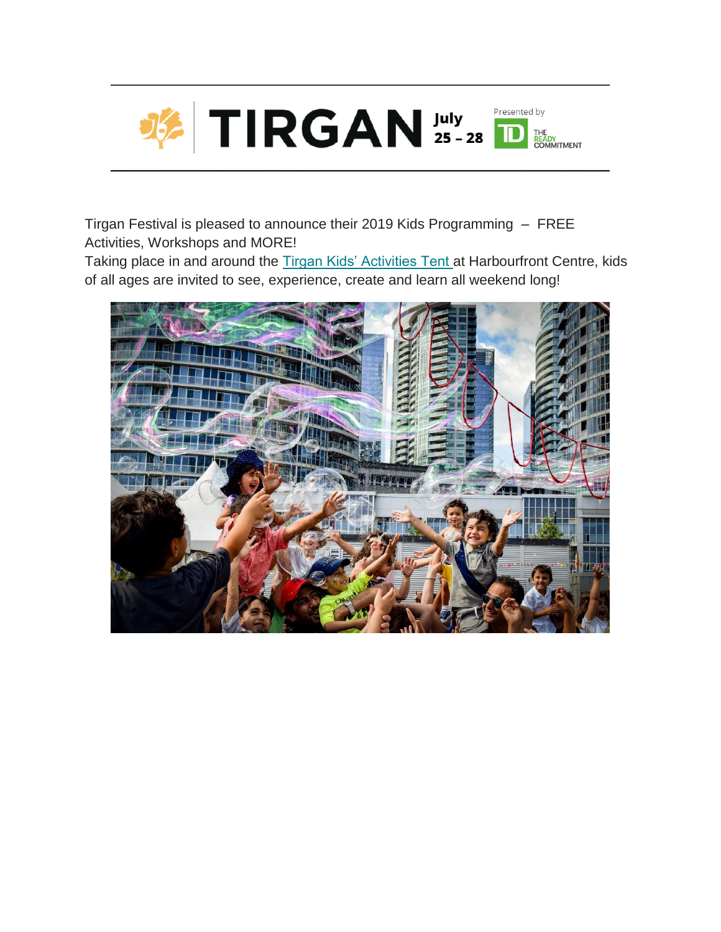

Tirgan Festival is pleased to announce their 2019 Kids Programming – FREE Activities, Workshops and MORE!

Taking place in and around the [Tirgan Kids' Activities Tent](https://gallery.mailchimp.com/27c0171a85ae330a5550ad085/images/45a3e418-5616-4e9f-8d5c-a4c294f9f2fd.png) at Harbourfront Centre, kids of all ages are invited to see, experience, create and learn all weekend long!

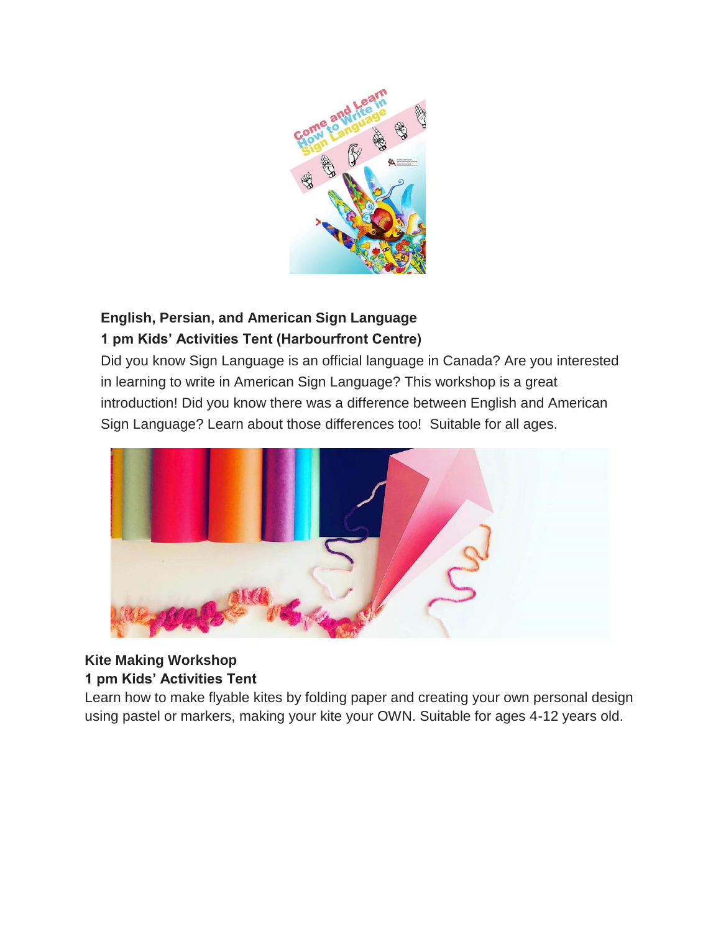

## **English, Persian, and American Sign Language 1 pm Kids' Activities Tent (Harbourfront Centre)**

Did you know Sign Language is an official language in Canada? Are you interested in learning to write in American Sign Language? This workshop is a great introduction! Did you know there was a difference between English and American Sign Language? Learn about those differences too! Suitable for all ages.



# **Kite Making Workshop**

#### **1 pm Kids' Activities Tent**

Learn how to make flyable kites by folding paper and creating your own personal design using pastel or markers, making your kite your OWN. Suitable for ages 4-12 years old.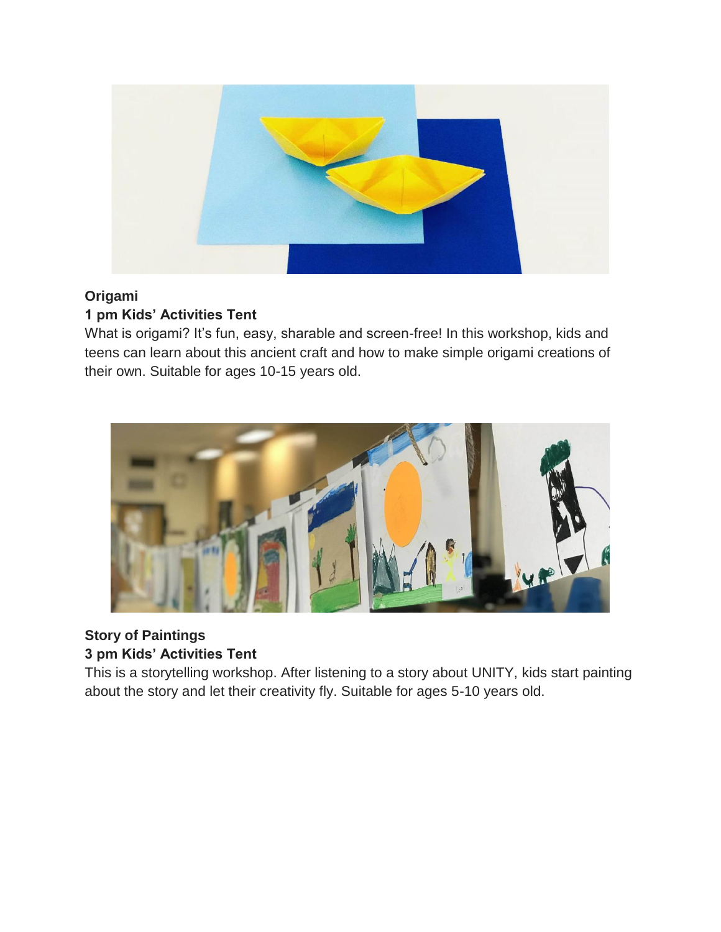

#### **Origami 1 pm Kids' Activities Tent**

What is origami? It's fun, easy, sharable and screen-free! In this workshop, kids and teens can learn about this ancient craft and how to make simple origami creations of their own. Suitable for ages 10-15 years old.



### **Story of Paintings 3 pm Kids' Activities Tent**

This is a storytelling workshop. After listening to a story about UNITY, kids start painting about the story and let their creativity fly. Suitable for ages 5-10 years old.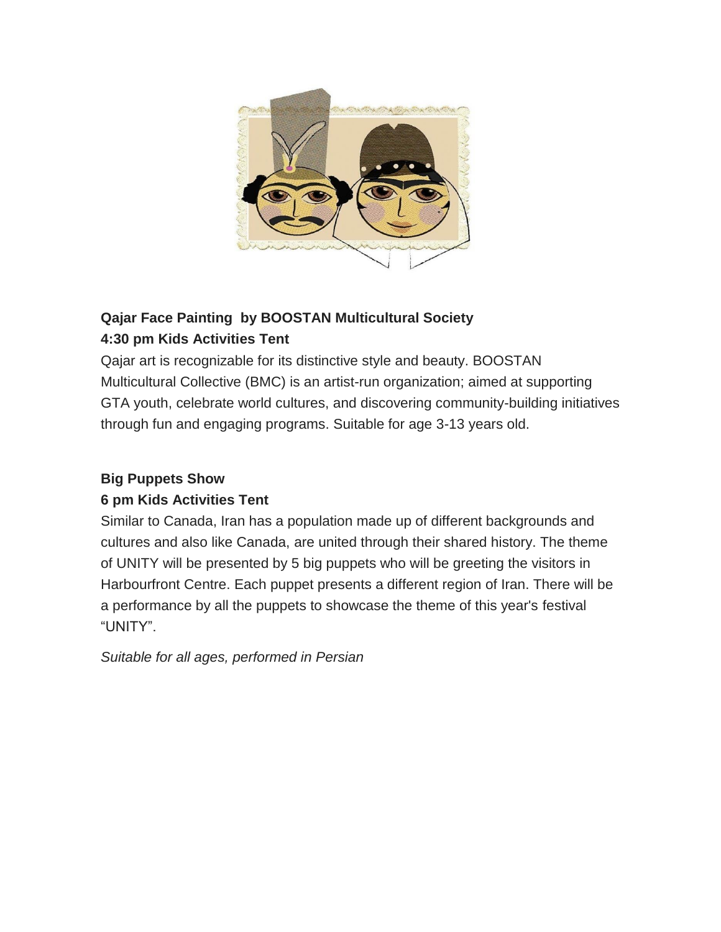

# **Qajar Face Painting by BOOSTAN Multicultural Society 4:30 pm Kids Activities Tent**

Qajar art is recognizable for its distinctive style and beauty. BOOSTAN Multicultural Collective (BMC) is an artist-run organization; aimed at supporting GTA youth, celebrate world cultures, and discovering community-building initiatives through fun and engaging programs. Suitable for age 3-13 years old.

### **Big Puppets Show**

### **6 pm Kids Activities Tent**

Similar to Canada, Iran has a population made up of different backgrounds and cultures and also like Canada, are united through their shared history. The theme of UNITY will be presented by 5 big puppets who will be greeting the visitors in Harbourfront Centre. Each puppet presents a different region of Iran. There will be a performance by all the puppets to showcase the theme of this year's festival "UNITY".

*Suitable for all ages, performed in Persian*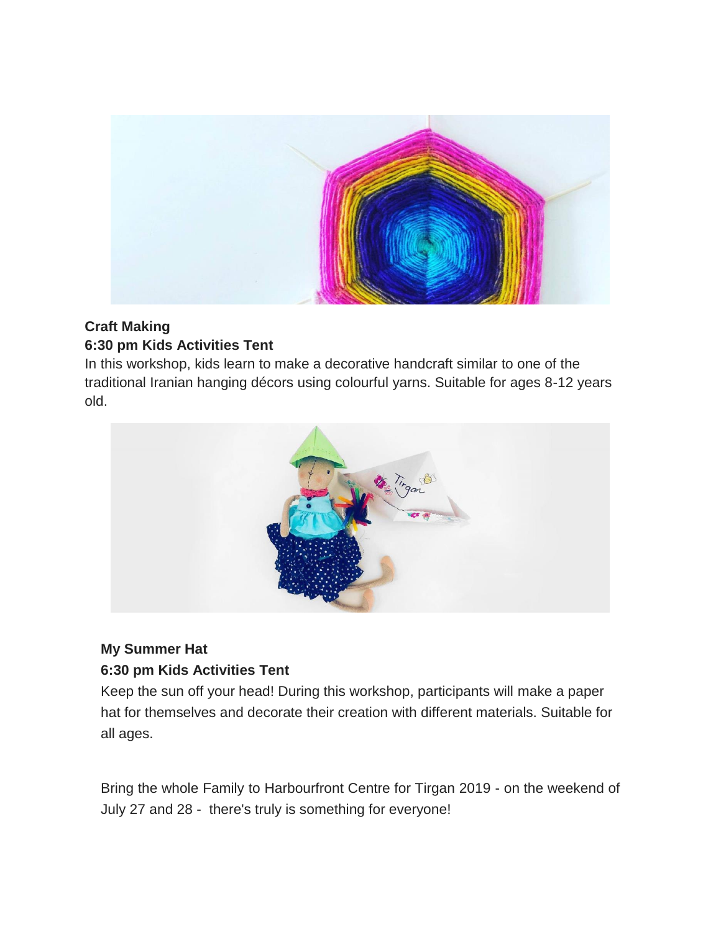

### **Craft Making 6:30 pm Kids Activities Tent**

In this workshop, kids learn to make a decorative handcraft similar to one of the traditional Iranian hanging décors using colourful yarns. Suitable for ages 8-12 years old.



### **My Summer Hat 6:30 pm Kids Activities Tent**

Keep the sun off your head! During this workshop, participants will make a paper hat for themselves and decorate their creation with different materials. Suitable for all ages.

Bring the whole Family to Harbourfront Centre for Tirgan 2019 - on the weekend of July 27 and 28 - there's truly is something for everyone!